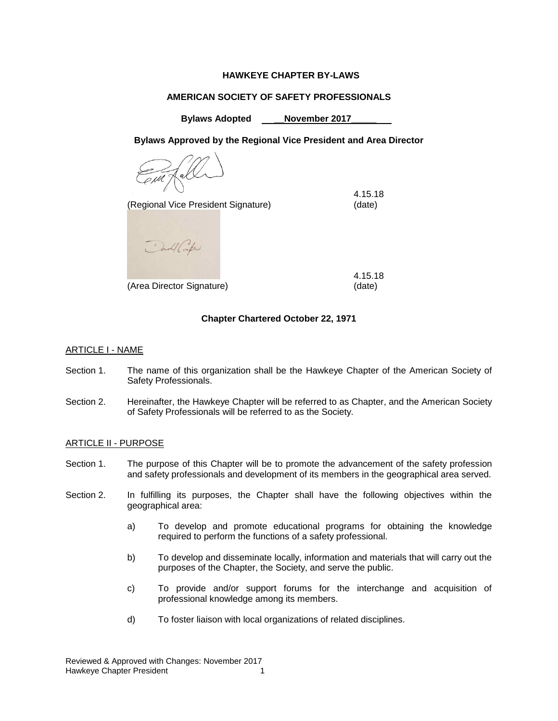# **HAWKEYE CHAPTER BY-LAWS**

## **AMERICAN SOCIETY OF SAFETY PROFESSIONALS**

**Bylaws Adopted \_\_November 2017\_\_\_\_\_**

**Bylaws Approved by the Regional Vice President and Area Director**

(Regional Vice President Signature) (date)

4.15.18

Condil Confer

(Area Director Signature) (date)

4.15.18

# **Chapter Chartered October 22, 1971**

# ARTICLE I - NAME

- Section 1. The name of this organization shall be the Hawkeye Chapter of the American Society of Safety Professionals.
- Section 2. Hereinafter, the Hawkeye Chapter will be referred to as Chapter, and the American Society of Safety Professionals will be referred to as the Society.

#### ARTICLE II - PURPOSE

- Section 1. The purpose of this Chapter will be to promote the advancement of the safety profession and safety professionals and development of its members in the geographical area served.
- Section 2. In fulfilling its purposes, the Chapter shall have the following objectives within the geographical area:
	- a) To develop and promote educational programs for obtaining the knowledge required to perform the functions of a safety professional.
	- b) To develop and disseminate locally, information and materials that will carry out the purposes of the Chapter, the Society, and serve the public.
	- c) To provide and/or support forums for the interchange and acquisition of professional knowledge among its members.
	- d) To foster liaison with local organizations of related disciplines.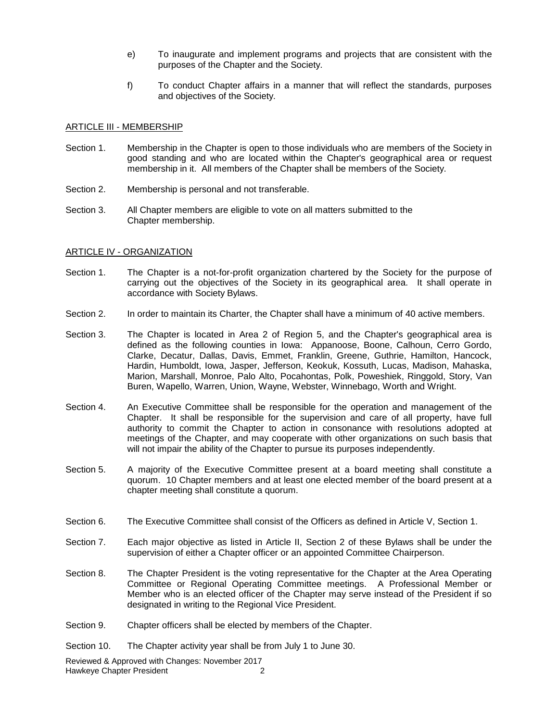- e) To inaugurate and implement programs and projects that are consistent with the purposes of the Chapter and the Society.
- f) To conduct Chapter affairs in a manner that will reflect the standards, purposes and objectives of the Society.

#### ARTICLE III - MEMBERSHIP

- Section 1. Membership in the Chapter is open to those individuals who are members of the Society in good standing and who are located within the Chapter's geographical area or request membership in it. All members of the Chapter shall be members of the Society.
- Section 2. Membership is personal and not transferable.
- Section 3. All Chapter members are eligible to vote on all matters submitted to the Chapter membership.

#### ARTICLE IV - ORGANIZATION

- Section 1. The Chapter is a not-for-profit organization chartered by the Society for the purpose of carrying out the objectives of the Society in its geographical area. It shall operate in accordance with Society Bylaws.
- Section 2. In order to maintain its Charter, the Chapter shall have a minimum of 40 active members.
- Section 3. The Chapter is located in Area 2 of Region 5, and the Chapter's geographical area is defined as the following counties in Iowa: Appanoose, Boone, Calhoun, Cerro Gordo, Clarke, Decatur, Dallas, Davis, Emmet, Franklin, Greene, Guthrie, Hamilton, Hancock, Hardin, Humboldt, Iowa, Jasper, Jefferson, Keokuk, Kossuth, Lucas, Madison, Mahaska, Marion, Marshall, Monroe, Palo Alto, Pocahontas, Polk, Poweshiek, Ringgold, Story, Van Buren, Wapello, Warren, Union, Wayne, Webster, Winnebago, Worth and Wright.
- Section 4. An Executive Committee shall be responsible for the operation and management of the Chapter. It shall be responsible for the supervision and care of all property, have full authority to commit the Chapter to action in consonance with resolutions adopted at meetings of the Chapter, and may cooperate with other organizations on such basis that will not impair the ability of the Chapter to pursue its purposes independently.
- Section 5. A majority of the Executive Committee present at a board meeting shall constitute a quorum. 10 Chapter members and at least one elected member of the board present at a chapter meeting shall constitute a quorum.
- Section 6. The Executive Committee shall consist of the Officers as defined in Article V, Section 1.
- Section 7. Each major objective as listed in Article II, Section 2 of these Bylaws shall be under the supervision of either a Chapter officer or an appointed Committee Chairperson.
- Section 8. The Chapter President is the voting representative for the Chapter at the Area Operating Committee or Regional Operating Committee meetings. A Professional Member or Member who is an elected officer of the Chapter may serve instead of the President if so designated in writing to the Regional Vice President.
- Section 9. Chapter officers shall be elected by members of the Chapter.
- Section 10. The Chapter activity year shall be from July 1 to June 30.

Reviewed & Approved with Changes: November 2017 Hawkeye Chapter President 2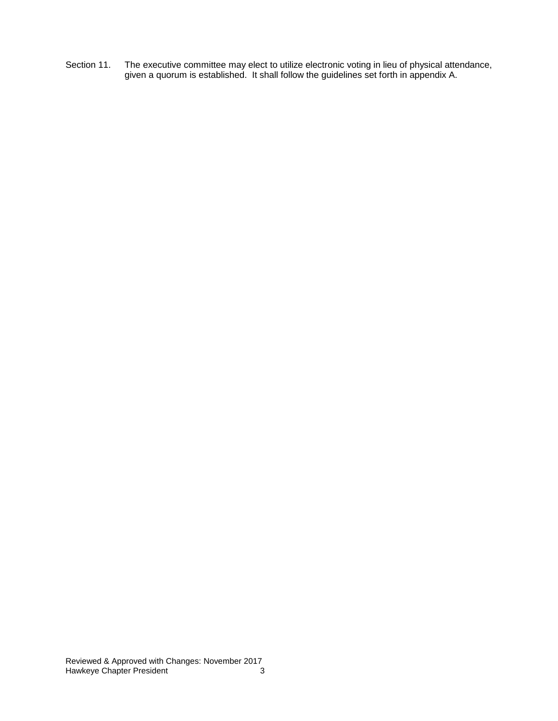Section 11. The executive committee may elect to utilize electronic voting in lieu of physical attendance, given a quorum is established. It shall follow the guidelines set forth in appendix A.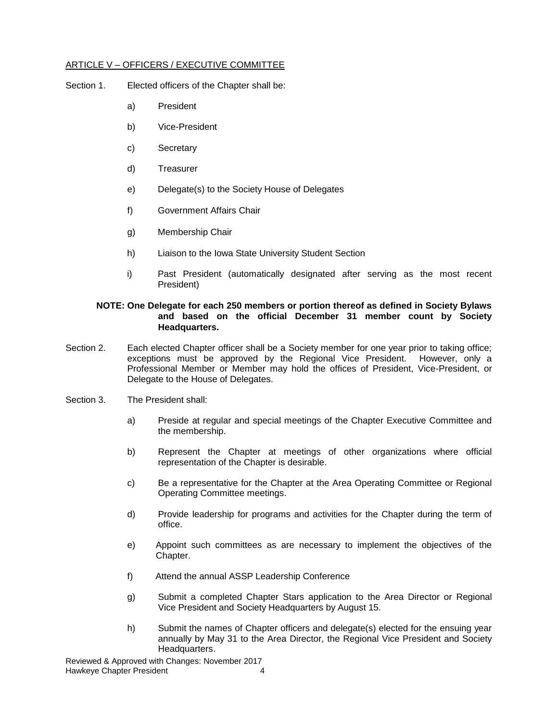#### ARTICLE V – OFFICERS / EXECUTIVE COMMITTEE

- Section 1. Elected officers of the Chapter shall be:
	- a) President
	- b) Vice-President
	- c) Secretary
	- d) Treasurer
	- e) Delegate(s) to the Society House of Delegates
	- f) Government Affairs Chair
	- g) Membership Chair
	- h) Liaison to the Iowa State University Student Section
	- i) Past President (automatically designated after serving as the most recent President)

#### **NOTE: One Delegate for each 250 members or portion thereof as defined in Society Bylaws and based on the official December 31 member count by Society Headquarters.**

- Section 2. Each elected Chapter officer shall be a Society member for one year prior to taking office; exceptions must be approved by the Regional Vice President. However, only a Professional Member or Member may hold the offices of President, Vice-President, or Delegate to the House of Delegates.
- Section 3. The President shall:
	- a) Preside at regular and special meetings of the Chapter Executive Committee and the membership.
	- b) Represent the Chapter at meetings of other organizations where official representation of the Chapter is desirable.
	- c) Be a representative for the Chapter at the Area Operating Committee or Regional Operating Committee meetings.
	- d) Provide leadership for programs and activities for the Chapter during the term of office.
	- e) Appoint such committees as are necessary to implement the objectives of the Chapter.
	- f) Attend the annual ASSP Leadership Conference
	- g) Submit a completed Chapter Stars application to the Area Director or Regional Vice President and Society Headquarters by August 15.
	- h) Submit the names of Chapter officers and delegate(s) elected for the ensuing year annually by May 31 to the Area Director, the Regional Vice President and Society Headquarters.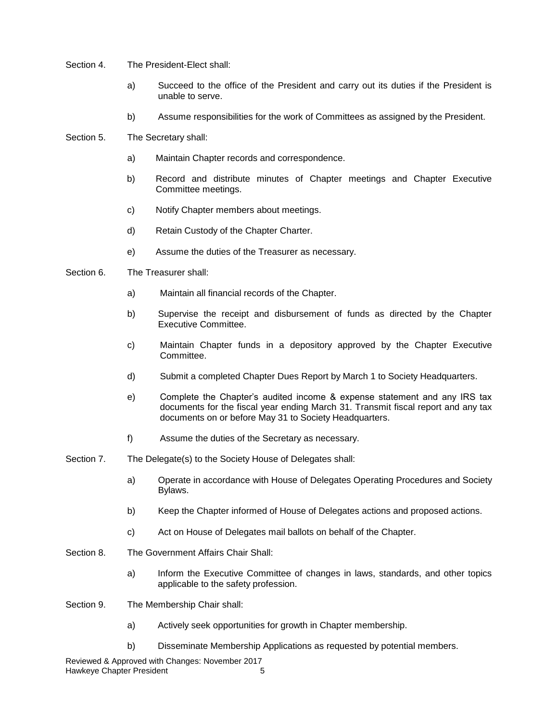- Section 4. The President-Elect shall:
	- a) Succeed to the office of the President and carry out its duties if the President is unable to serve.
	- b) Assume responsibilities for the work of Committees as assigned by the President.
- Section 5. The Secretary shall:
	- a) Maintain Chapter records and correspondence.
	- b) Record and distribute minutes of Chapter meetings and Chapter Executive Committee meetings.
	- c) Notify Chapter members about meetings.
	- d) Retain Custody of the Chapter Charter.
	- e) Assume the duties of the Treasurer as necessary.
- Section 6. The Treasurer shall:
	- a) Maintain all financial records of the Chapter.
	- b) Supervise the receipt and disbursement of funds as directed by the Chapter Executive Committee.
	- c) Maintain Chapter funds in a depository approved by the Chapter Executive Committee.
	- d) Submit a completed Chapter Dues Report by March 1 to Society Headquarters.
	- e) Complete the Chapter's audited income & expense statement and any IRS tax documents for the fiscal year ending March 31. Transmit fiscal report and any tax documents on or before May 31 to Society Headquarters.
	- f) Assume the duties of the Secretary as necessary.
- Section 7. The Delegate(s) to the Society House of Delegates shall:
	- a) Operate in accordance with House of Delegates Operating Procedures and Society Bylaws.
	- b) Keep the Chapter informed of House of Delegates actions and proposed actions.
	- c) Act on House of Delegates mail ballots on behalf of the Chapter.
- Section 8. The Government Affairs Chair Shall:
	- a) Inform the Executive Committee of changes in laws, standards, and other topics applicable to the safety profession.
- Section 9. The Membership Chair shall:
	- a) Actively seek opportunities for growth in Chapter membership.
	- b) Disseminate Membership Applications as requested by potential members.

Reviewed & Approved with Changes: November 2017 Hawkeye Chapter President 5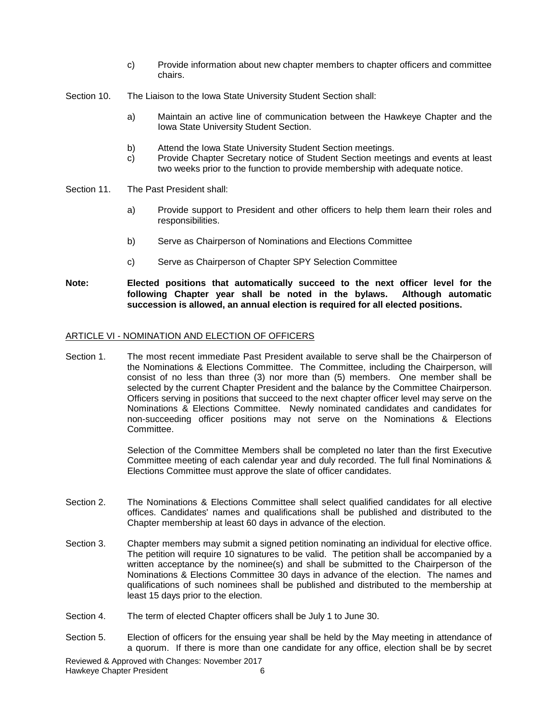- c) Provide information about new chapter members to chapter officers and committee chairs.
- Section 10. The Liaison to the Iowa State University Student Section shall:
	- a) Maintain an active line of communication between the Hawkeye Chapter and the Iowa State University Student Section.
	- b) Attend the Iowa State University Student Section meetings.
	- c) Provide Chapter Secretary notice of Student Section meetings and events at least two weeks prior to the function to provide membership with adequate notice.
- Section 11. The Past President shall:
	- a) Provide support to President and other officers to help them learn their roles and responsibilities.
	- b) Serve as Chairperson of Nominations and Elections Committee
	- c) Serve as Chairperson of Chapter SPY Selection Committee
- **Note: Elected positions that automatically succeed to the next officer level for the following Chapter year shall be noted in the bylaws. Although automatic succession is allowed, an annual election is required for all elected positions.**

#### ARTICLE VI - NOMINATION AND ELECTION OF OFFICERS

Section 1. The most recent immediate Past President available to serve shall be the Chairperson of the Nominations & Elections Committee. The Committee, including the Chairperson, will consist of no less than three (3) nor more than (5) members. One member shall be selected by the current Chapter President and the balance by the Committee Chairperson. Officers serving in positions that succeed to the next chapter officer level may serve on the Nominations & Elections Committee. Newly nominated candidates and candidates for non-succeeding officer positions may not serve on the Nominations & Elections Committee.

> Selection of the Committee Members shall be completed no later than the first Executive Committee meeting of each calendar year and duly recorded. The full final Nominations & Elections Committee must approve the slate of officer candidates.

- Section 2. The Nominations & Elections Committee shall select qualified candidates for all elective offices. Candidates' names and qualifications shall be published and distributed to the Chapter membership at least 60 days in advance of the election.
- Section 3. Chapter members may submit a signed petition nominating an individual for elective office. The petition will require 10 signatures to be valid. The petition shall be accompanied by a written acceptance by the nominee(s) and shall be submitted to the Chairperson of the Nominations & Elections Committee 30 days in advance of the election. The names and qualifications of such nominees shall be published and distributed to the membership at least 15 days prior to the election.
- Section 4. The term of elected Chapter officers shall be July 1 to June 30.
- Section 5. Election of officers for the ensuing year shall be held by the May meeting in attendance of a quorum. If there is more than one candidate for any office, election shall be by secret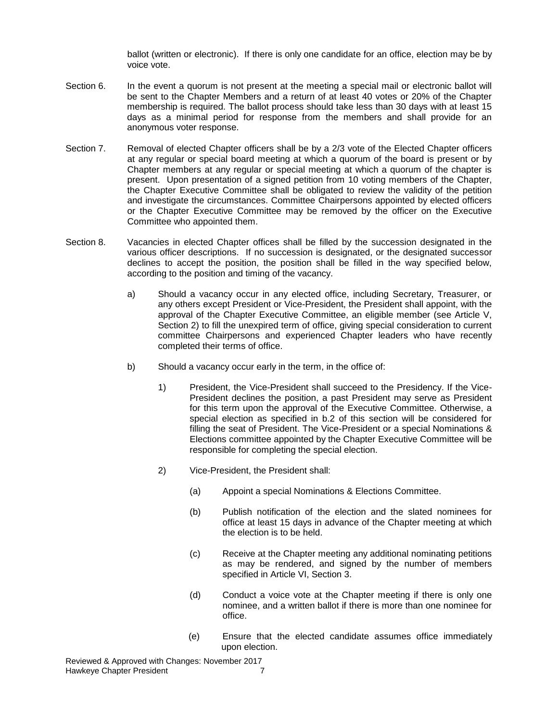ballot (written or electronic). If there is only one candidate for an office, election may be by voice vote.

- Section 6. In the event a quorum is not present at the meeting a special mail or electronic ballot will be sent to the Chapter Members and a return of at least 40 votes or 20% of the Chapter membership is required. The ballot process should take less than 30 days with at least 15 days as a minimal period for response from the members and shall provide for an anonymous voter response.
- Section 7. Removal of elected Chapter officers shall be by a 2/3 vote of the Elected Chapter officers at any regular or special board meeting at which a quorum of the board is present or by Chapter members at any regular or special meeting at which a quorum of the chapter is present. Upon presentation of a signed petition from 10 voting members of the Chapter, the Chapter Executive Committee shall be obligated to review the validity of the petition and investigate the circumstances. Committee Chairpersons appointed by elected officers or the Chapter Executive Committee may be removed by the officer on the Executive Committee who appointed them.
- Section 8. Vacancies in elected Chapter offices shall be filled by the succession designated in the various officer descriptions. If no succession is designated, or the designated successor declines to accept the position, the position shall be filled in the way specified below, according to the position and timing of the vacancy.
	- a) Should a vacancy occur in any elected office, including Secretary, Treasurer, or any others except President or Vice-President, the President shall appoint, with the approval of the Chapter Executive Committee, an eligible member (see Article V, Section 2) to fill the unexpired term of office, giving special consideration to current committee Chairpersons and experienced Chapter leaders who have recently completed their terms of office.
	- b) Should a vacancy occur early in the term, in the office of:
		- 1) President, the Vice-President shall succeed to the Presidency. If the Vice-President declines the position, a past President may serve as President for this term upon the approval of the Executive Committee. Otherwise, a special election as specified in b.2 of this section will be considered for filling the seat of President. The Vice-President or a special Nominations & Elections committee appointed by the Chapter Executive Committee will be responsible for completing the special election.
		- 2) Vice-President, the President shall:
			- (a) Appoint a special Nominations & Elections Committee.
			- (b) Publish notification of the election and the slated nominees for office at least 15 days in advance of the Chapter meeting at which the election is to be held.
			- (c) Receive at the Chapter meeting any additional nominating petitions as may be rendered, and signed by the number of members specified in Article VI, Section 3.
			- (d) Conduct a voice vote at the Chapter meeting if there is only one nominee, and a written ballot if there is more than one nominee for office.
			- (e) Ensure that the elected candidate assumes office immediately upon election.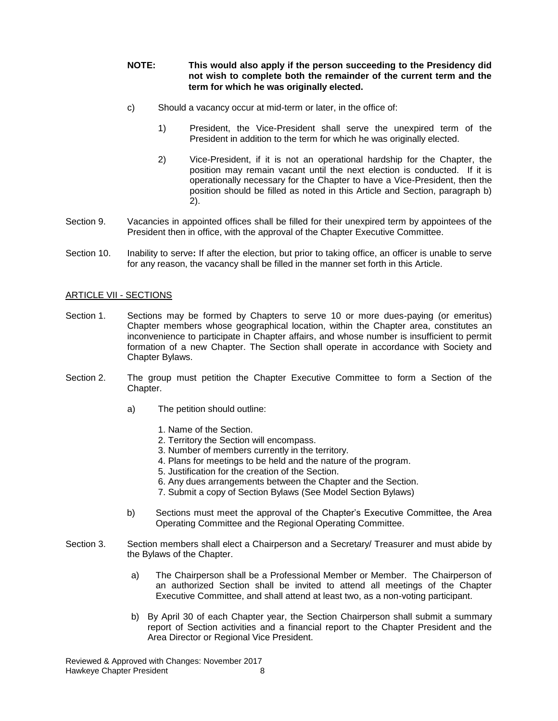## **NOTE: This would also apply if the person succeeding to the Presidency did not wish to complete both the remainder of the current term and the term for which he was originally elected.**

- c) Should a vacancy occur at mid-term or later, in the office of:
	- 1) President, the Vice-President shall serve the unexpired term of the President in addition to the term for which he was originally elected.
	- 2) Vice-President, if it is not an operational hardship for the Chapter, the position may remain vacant until the next election is conducted. If it is operationally necessary for the Chapter to have a Vice-President, then the position should be filled as noted in this Article and Section, paragraph b) 2).
- Section 9. Vacancies in appointed offices shall be filled for their unexpired term by appointees of the President then in office, with the approval of the Chapter Executive Committee.
- Section 10. Inability to serve**:** If after the election, but prior to taking office, an officer is unable to serve for any reason, the vacancy shall be filled in the manner set forth in this Article.

#### ARTICLE VII - SECTIONS

- Section 1. Sections may be formed by Chapters to serve 10 or more dues-paying (or emeritus) Chapter members whose geographical location, within the Chapter area, constitutes an inconvenience to participate in Chapter affairs, and whose number is insufficient to permit formation of a new Chapter. The Section shall operate in accordance with Society and Chapter Bylaws.
- Section 2. The group must petition the Chapter Executive Committee to form a Section of the Chapter.
	- a) The petition should outline:
		- 1. Name of the Section.
		- 2. Territory the Section will encompass.
		- 3. Number of members currently in the territory.
		- 4. Plans for meetings to be held and the nature of the program.
		- 5. Justification for the creation of the Section.
		- 6. Any dues arrangements between the Chapter and the Section.
		- 7. Submit a copy of Section Bylaws (See Model Section Bylaws)
	- b) Sections must meet the approval of the Chapter's Executive Committee, the Area Operating Committee and the Regional Operating Committee.
- Section 3. Section members shall elect a Chairperson and a Secretary/ Treasurer and must abide by the Bylaws of the Chapter.
	- a) The Chairperson shall be a Professional Member or Member. The Chairperson of an authorized Section shall be invited to attend all meetings of the Chapter Executive Committee, and shall attend at least two, as a non-voting participant.
	- b) By April 30 of each Chapter year, the Section Chairperson shall submit a summary report of Section activities and a financial report to the Chapter President and the Area Director or Regional Vice President.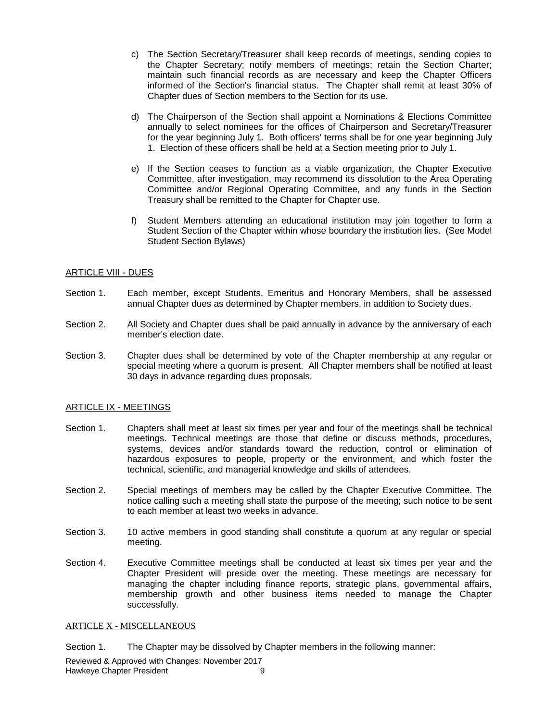- c) The Section Secretary/Treasurer shall keep records of meetings, sending copies to the Chapter Secretary; notify members of meetings; retain the Section Charter; maintain such financial records as are necessary and keep the Chapter Officers informed of the Section's financial status. The Chapter shall remit at least 30% of Chapter dues of Section members to the Section for its use.
- d) The Chairperson of the Section shall appoint a Nominations & Elections Committee annually to select nominees for the offices of Chairperson and Secretary/Treasurer for the year beginning July 1. Both officers' terms shall be for one year beginning July 1. Election of these officers shall be held at a Section meeting prior to July 1.
- e) If the Section ceases to function as a viable organization, the Chapter Executive Committee, after investigation, may recommend its dissolution to the Area Operating Committee and/or Regional Operating Committee, and any funds in the Section Treasury shall be remitted to the Chapter for Chapter use.
- f) Student Members attending an educational institution may join together to form a Student Section of the Chapter within whose boundary the institution lies. (See Model Student Section Bylaws)

#### ARTICLE VIII - DUES

- Section 1. Each member, except Students, Emeritus and Honorary Members, shall be assessed annual Chapter dues as determined by Chapter members, in addition to Society dues.
- Section 2. All Society and Chapter dues shall be paid annually in advance by the anniversary of each member's election date.
- Section 3. Chapter dues shall be determined by vote of the Chapter membership at any regular or special meeting where a quorum is present. All Chapter members shall be notified at least 30 days in advance regarding dues proposals.

#### ARTICLE IX - MEETINGS

- Section 1. Chapters shall meet at least six times per year and four of the meetings shall be technical meetings. Technical meetings are those that define or discuss methods, procedures, systems, devices and/or standards toward the reduction, control or elimination of hazardous exposures to people, property or the environment, and which foster the technical, scientific, and managerial knowledge and skills of attendees.
- Section 2. Special meetings of members may be called by the Chapter Executive Committee. The notice calling such a meeting shall state the purpose of the meeting; such notice to be sent to each member at least two weeks in advance.
- Section 3. 10 active members in good standing shall constitute a quorum at any regular or special meeting.
- Section 4. Executive Committee meetings shall be conducted at least six times per year and the Chapter President will preside over the meeting. These meetings are necessary for managing the chapter including finance reports, strategic plans, governmental affairs, membership growth and other business items needed to manage the Chapter successfully.

#### ARTICLE X - MISCELLANEOUS

Section 1. The Chapter may be dissolved by Chapter members in the following manner:

Reviewed & Approved with Changes: November 2017 Hawkeye Chapter President 9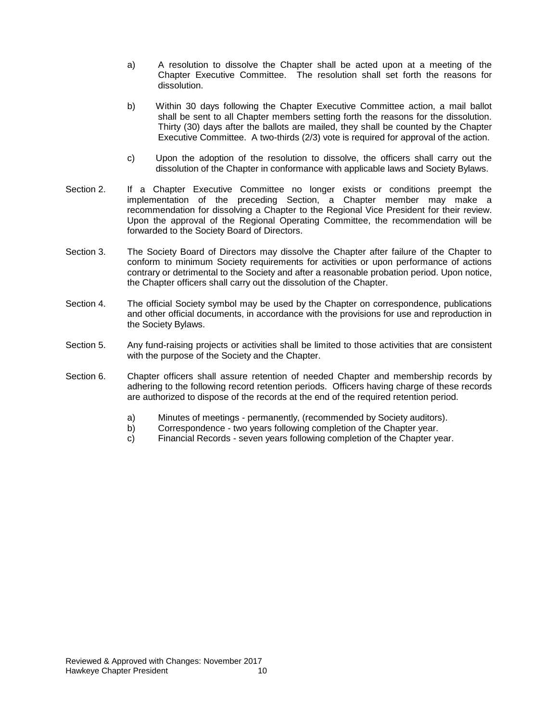- a) A resolution to dissolve the Chapter shall be acted upon at a meeting of the Chapter Executive Committee. The resolution shall set forth the reasons for dissolution.
- b) Within 30 days following the Chapter Executive Committee action, a mail ballot shall be sent to all Chapter members setting forth the reasons for the dissolution. Thirty (30) days after the ballots are mailed, they shall be counted by the Chapter Executive Committee. A two-thirds (2/3) vote is required for approval of the action.
- c) Upon the adoption of the resolution to dissolve, the officers shall carry out the dissolution of the Chapter in conformance with applicable laws and Society Bylaws.
- Section 2. If a Chapter Executive Committee no longer exists or conditions preempt the implementation of the preceding Section, a Chapter member may make a recommendation for dissolving a Chapter to the Regional Vice President for their review. Upon the approval of the Regional Operating Committee, the recommendation will be forwarded to the Society Board of Directors.
- Section 3. The Society Board of Directors may dissolve the Chapter after failure of the Chapter to conform to minimum Society requirements for activities or upon performance of actions contrary or detrimental to the Society and after a reasonable probation period. Upon notice, the Chapter officers shall carry out the dissolution of the Chapter.
- Section 4. The official Society symbol may be used by the Chapter on correspondence, publications and other official documents, in accordance with the provisions for use and reproduction in the Society Bylaws.
- Section 5. Any fund-raising projects or activities shall be limited to those activities that are consistent with the purpose of the Society and the Chapter.
- Section 6. Chapter officers shall assure retention of needed Chapter and membership records by adhering to the following record retention periods. Officers having charge of these records are authorized to dispose of the records at the end of the required retention period.
	- a) Minutes of meetings permanently, (recommended by Society auditors).
	- b) Correspondence two years following completion of the Chapter year.
	- c) Financial Records seven years following completion of the Chapter year.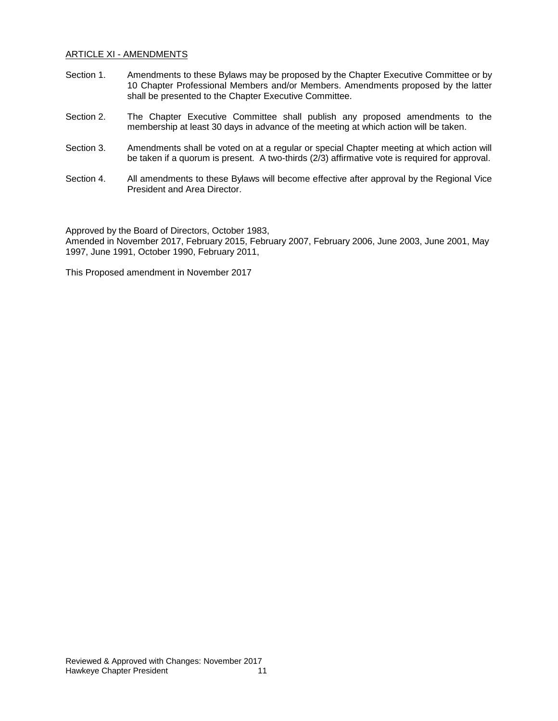#### ARTICLE XI - AMENDMENTS

- Section 1. Amendments to these Bylaws may be proposed by the Chapter Executive Committee or by 10 Chapter Professional Members and/or Members. Amendments proposed by the latter shall be presented to the Chapter Executive Committee.
- Section 2. The Chapter Executive Committee shall publish any proposed amendments to the membership at least 30 days in advance of the meeting at which action will be taken.
- Section 3. Amendments shall be voted on at a regular or special Chapter meeting at which action will be taken if a quorum is present. A two-thirds (2/3) affirmative vote is required for approval.
- Section 4. All amendments to these Bylaws will become effective after approval by the Regional Vice President and Area Director.

Approved by the Board of Directors, October 1983, Amended in November 2017, February 2015, February 2007, February 2006, June 2003, June 2001, May 1997, June 1991, October 1990, February 2011,

This Proposed amendment in November 2017